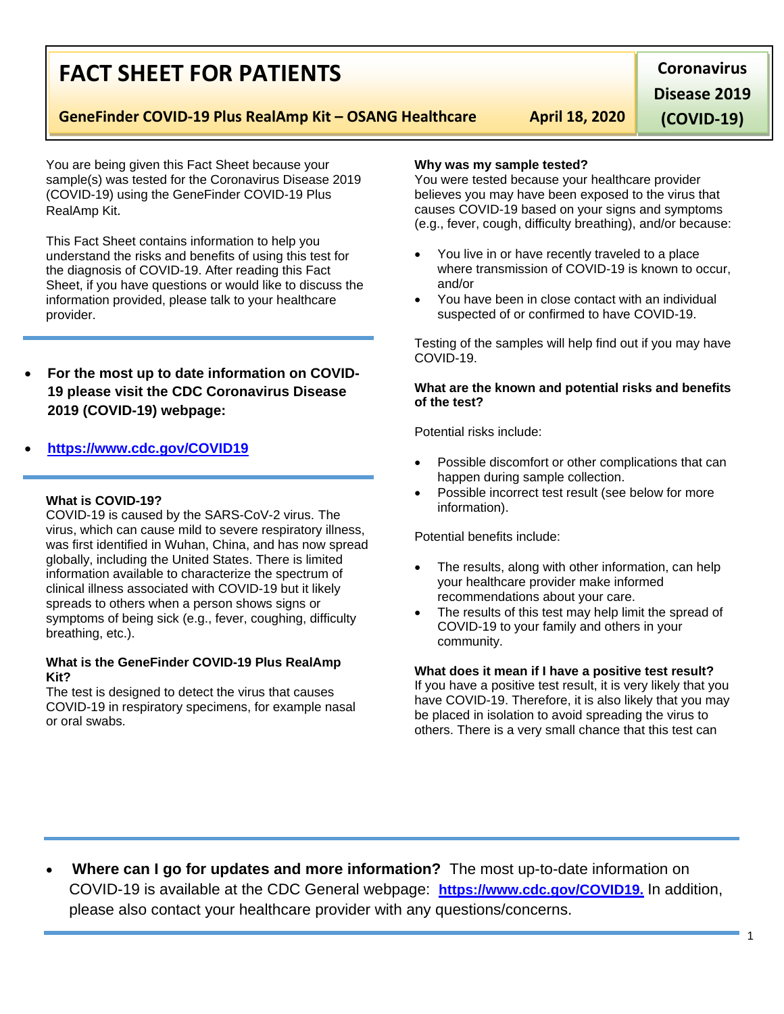# **FACT SHEET FOR PATIENTS**

## **GeneFinder COVID-19 Plus RealAmp Kit – OSANG Healthcare April 18, 2020**

**Disease 2019** 

**Coronavirus** 

**(COVID-19)**

You are being given this Fact Sheet because your sample(s) was tested for the Coronavirus Disease 2019 (COVID-19) using the GeneFinder COVID-19 Plus RealAmp Kit.

This Fact Sheet contains information to help you understand the risks and benefits of using this test for the diagnosis of COVID-19. After reading this Fact Sheet, if you have questions or would like to discuss the information provided, please talk to your healthcare provider.

• **For the most up to date information on COVID-19 please visit the CDC Coronavirus Disease 2019 (COVID-19) webpage:**

### • **[https://www.cdc.gov/COVID19](https://www.cdc.gov/nCoV)**

#### **What is COVID-19?**

COVID-19 is caused by the SARS-CoV-2 virus. The virus, which can cause mild to severe respiratory illness, was first identified in Wuhan, China, and has now spread globally, including the United States. There is limited information available to characterize the spectrum of clinical illness associated with COVID-19 but it likely spreads to others when a person shows signs or symptoms of being sick (e.g., fever, coughing, difficulty breathing, etc.).

#### **What is the GeneFinder COVID-19 Plus RealAmp Kit?**

The test is designed to detect the virus that causes COVID-19 in respiratory specimens, for example nasal or oral swabs.

#### **Why was my sample tested?**

You were tested because your healthcare provider believes you may have been exposed to the virus that causes COVID-19 based on your signs and symptoms (e.g., fever, cough, difficulty breathing), and/or because:

- You live in or have recently traveled to a place where transmission of COVID-19 is known to occur, and/or
- You have been in close contact with an individual suspected of or confirmed to have COVID-19.

Testing of the samples will help find out if you may have COVID-19.

#### **What are the known and potential risks and benefits of the test?**

Potential risks include:

- Possible discomfort or other complications that can happen during sample collection.
- Possible incorrect test result (see below for more information).

Potential benefits include:

- The results, along with other information, can help your healthcare provider make informed recommendations about your care.
- The results of this test may help limit the spread of COVID-19 to your family and others in your community.

#### **What does it mean if I have a positive test result?**

If you have a positive test result, it is very likely that you have COVID-19. Therefore, it is also likely that you may be placed in isolation to avoid spreading the virus to others. There is a very small chance that this test can

• **Where can I go for updates and more information?** The most up-to-date information on COVID-19 is available at the CDC General webpage: **[https://www.cdc.gov/COVID19.](https://www.cdc.gov/nCoV)** In addition, please also contact your healthcare provider with any questions/concerns.